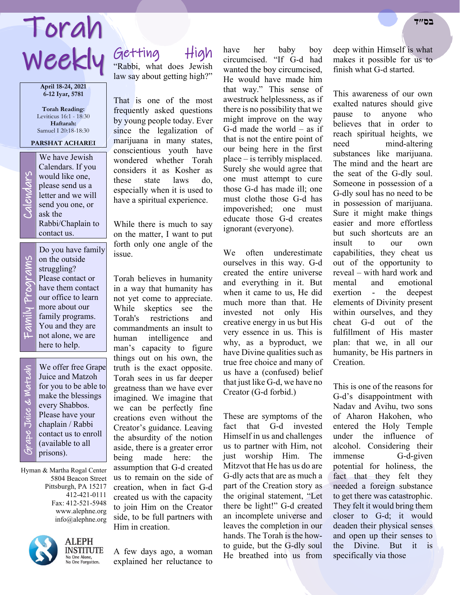# Weekly Getting High Torah **בס״ד**

**April 18-24, 2021 6-12 Iyar, 5781**

**Torah Reading:** Leviticus 16:1 - 18:30 **Haftarah:** Samuel I 20:18-18:30

**PARSHAT ACHAREI**

Calendars. If you would like one, please send us a letter and we will send you one, or

Rabbi/Chaplain to

Do you have family on the outside struggling? Please contact or have them contact our office to learn more about our family programs. You and they are

We have Jewish<br>Calendars. If you<br>would like one,<br>please send us a<br>letter and we will<br>send you one, or<br>ask the

ask the

contact us.

Family Programs ly Programs Fami

not alone, we are here to help. Grape Juice & Matzah We offer free Grape ape Juice & Watzah Juice and Matzoh for you to be able to make the blessings every Shabbos. Please have your chaplain / Rabbi contact us to enroll (available to all

Hyman & Martha Rogal Center 5804 Beacon Street Pittsburgh, PA 15217 412-421-0111 Fax: 412-521-5948 www.alephne.org info@alephne.org

prisons).



**ALEPH** INSTITUTE No One Alone, No One Fuone,<br>No One Forgotten.

"Rabbi, what does Jewish

law say about getting high?"

That is one of the most frequently asked questions by young people today. Ever since the legalization of marijuana in many states, conscientious youth have wondered whether Torah considers it as Kosher as these state laws do, especially when it is used to have a spiritual experience.

While there is much to say on the matter, I want to put forth only one angle of the issue.

Torah believes in humanity in a way that humanity has not yet come to appreciate. While skeptics see the Torah's restrictions and commandments an insult to human intelligence and man's capacity to figure things out on his own, the truth is the exact opposite. Torah sees in us far deeper greatness than we have ever imagined. We imagine that we can be perfectly fine creations even without the Creator's guidance. Leaving the absurdity of the notion aside, there is a greater error being made here: the assumption that G-d created us to remain on the side of creation, when in fact G-d created us with the capacity to join Him on the Creator side, to be full partners with Him in creation.

A few days ago, a woman explained her reluctance to have her baby boy circumcised. "If G-d had wanted the boy circumcised, He would have made him that way." This sense of awestruck helplessness, as if there is no possibility that we might improve on the way G-d made the world  $-$  as if that is not the entire point of our being here in the first place – is terribly misplaced. Surely she would agree that one must attempt to cure those G-d has made ill; one must clothe those G-d has impoverished; one must educate those G-d creates

We often underestimate ourselves in this way. G-d created the entire universe and everything in it. But when it came to us, He did much more than that. He invested not only His creative energy in us but His very essence in us. This is why, as a byproduct, we have Divine qualities such as true free choice and many of us have a (confused) belief that just like G-d, we have no Creator (G-d forbid.)

ignorant (everyone).

These are symptoms of the fact that G-d invested Himself in us and challenges us to partner with Him, not just worship Him. The Mitzvot that He has us do are G-dly acts that are as much a part of the Creation story as the original statement, "Let there be light!" G-d created an incomplete universe and leaves the completion in our hands. The Torah is the howto guide, but the G-dly soul He breathed into us from

deep within Himself is what makes it possible for us to finish what G-d started.

This awareness of our own exalted natures should give pause to anyone who believes that in order to reach spiritual heights, we need mind-altering substances like marijuana. The mind and the heart are the seat of the G-dly soul. Someone in possession of a G-dly soul has no need to be in possession of marijuana. Sure it might make things easier and more effortless but such shortcuts are an insult to our own capabilities, they cheat us out of the opportunity to reveal – with hard work and mental and emotional exertion - the deepest elements of Divinity present within ourselves, and they cheat G-d out of the fulfillment of His master plan: that we, in all our humanity, be His partners in Creation.

This is one of the reasons for G-d's disappointment with Nadav and Avihu, two sons of Aharon Hakohen, who entered the Holy Temple under the influence of alcohol. Considering their immense G-d-given potential for holiness, the fact that they felt they needed a foreign substance to get there was catastrophic. They felt it would bring them closer to G-d; it would deaden their physical senses and open up their senses to the Divine. But it is specifically via those